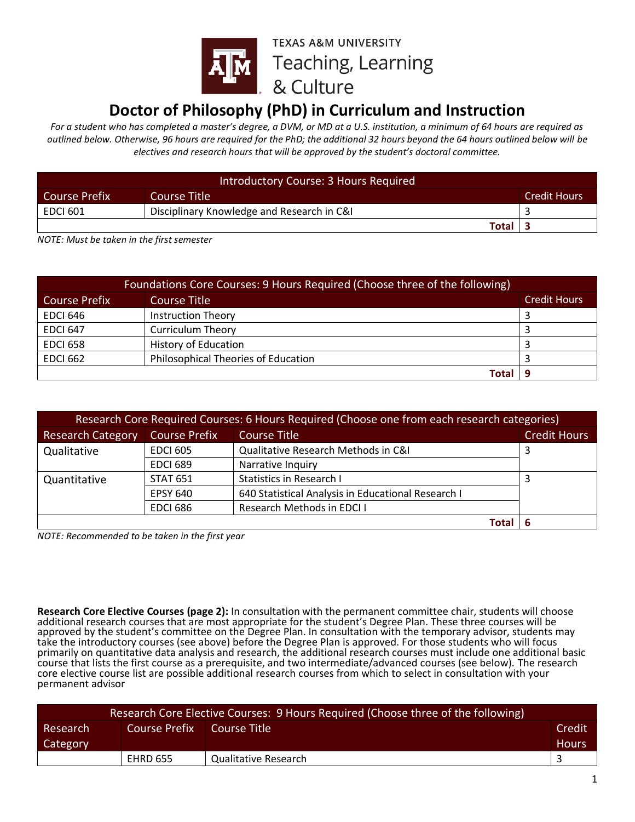

## **Doctor of Philosophy (PhD) in Curriculum and Instruction**

*For a student who has completed a master's degree, a DVM, or MD at a U.S. institution, a minimum of 64 hours are required as outlined below. Otherwise, 96 hours are required for the PhD; the additional 32 hours beyond the 64 hours outlined below will be electives and research hours that will be approved by the student's doctoral committee.*

| Introductory Course: 3 Hours Required                |                                            |  |  |  |
|------------------------------------------------------|--------------------------------------------|--|--|--|
| <b>Credit Hours</b><br>Course Title<br>Course Prefix |                                            |  |  |  |
| <b>EDCI 601</b>                                      | Disciplinary Knowledge and Research in C&I |  |  |  |
|                                                      | Total I                                    |  |  |  |

*NOTE: Must be taken in the first semester*

| Foundations Core Courses: 9 Hours Required (Choose three of the following) |                                            |                     |  |
|----------------------------------------------------------------------------|--------------------------------------------|---------------------|--|
| Course Prefix                                                              | Course Title                               | <b>Credit Hours</b> |  |
| <b>EDCI 646</b>                                                            | <b>Instruction Theory</b>                  |                     |  |
| <b>EDCI 647</b>                                                            | <b>Curriculum Theory</b>                   |                     |  |
| <b>EDCI 658</b>                                                            | <b>History of Education</b>                |                     |  |
| <b>EDCI 662</b>                                                            | <b>Philosophical Theories of Education</b> |                     |  |
|                                                                            | <b>Total</b>                               |                     |  |

| Research Core Required Courses: 6 Hours Required (Choose one from each research categories) |                      |                                                    |                     |  |
|---------------------------------------------------------------------------------------------|----------------------|----------------------------------------------------|---------------------|--|
| <b>Research Category</b>                                                                    | <b>Course Prefix</b> | <b>Course Title</b>                                | <b>Credit Hours</b> |  |
| Qualitative                                                                                 | <b>EDCI 605</b>      | Qualitative Research Methods in C&I                |                     |  |
|                                                                                             | <b>EDCI 689</b>      | Narrative Inquiry                                  |                     |  |
| Quantitative                                                                                | <b>STAT 651</b>      | <b>Statistics in Research I</b>                    |                     |  |
|                                                                                             | <b>EPSY 640</b>      | 640 Statistical Analysis in Educational Research I |                     |  |
|                                                                                             | <b>EDCI 686</b>      | <b>Research Methods in EDCI I</b>                  |                     |  |
|                                                                                             |                      | Total                                              |                     |  |

*NOTE: Recommended to be taken in the first year*

**Research Core Elective Courses (page 2):** In consultation with the permanent committee chair, students will choose additional research courses that are most appropriate for the student's Degree Plan. These three courses will be approved by the student's committee on the Degree Plan. In consultation with the temporary advisor, students may take the introductory courses (see above) before the Degree Plan is approved. For those students who will focus primarily on quantitative data analysis and research, the additional research courses must include one additional basic course that lists the first course as a prerequisite, and two intermediate/advanced courses (see below). The research core elective course list are possible additional research courses from which to select in consultation with your permanent advisor

| Research Core Elective Courses: 9 Hours Required (Choose three of the following) |                 |                      |              |
|----------------------------------------------------------------------------------|-----------------|----------------------|--------------|
| Credit<br>Course Prefix<br>Course Title<br>Research                              |                 |                      |              |
| Category                                                                         |                 |                      | <b>Hours</b> |
|                                                                                  | <b>EHRD 655</b> | Qualitative Research |              |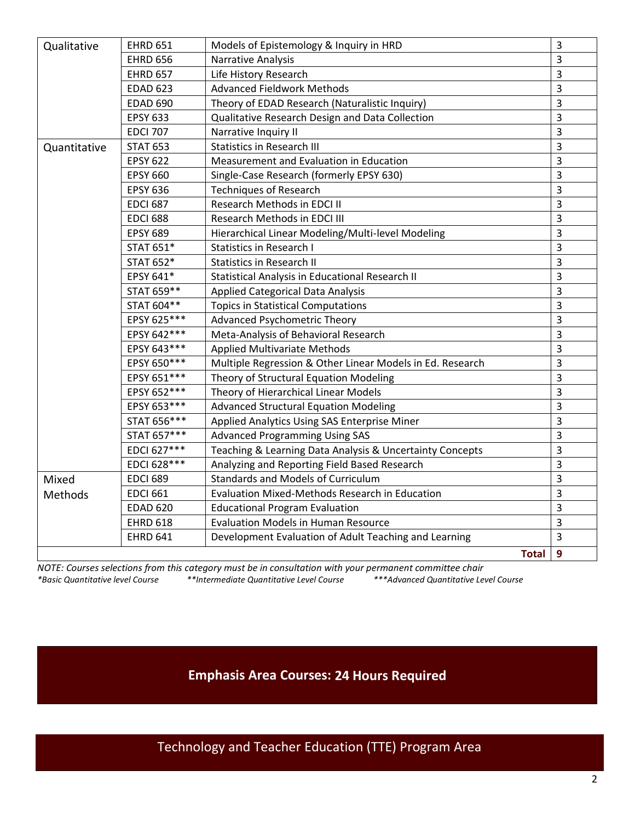| Qualitative  | <b>EHRD 651</b> | Models of Epistemology & Inquiry in HRD                   | $\overline{3}$ |
|--------------|-----------------|-----------------------------------------------------------|----------------|
|              | <b>EHRD 656</b> | Narrative Analysis                                        | 3              |
|              | <b>EHRD 657</b> | Life History Research                                     | $\overline{3}$ |
|              | <b>EDAD 623</b> | <b>Advanced Fieldwork Methods</b>                         | $\overline{3}$ |
|              | <b>EDAD 690</b> | Theory of EDAD Research (Naturalistic Inquiry)            | $\overline{3}$ |
|              | <b>EPSY 633</b> | Qualitative Research Design and Data Collection           | $\overline{3}$ |
|              | <b>EDCI 707</b> | Narrative Inquiry II                                      | 3              |
| Quantitative | <b>STAT 653</b> | <b>Statistics in Research III</b>                         | 3              |
|              | <b>EPSY 622</b> | Measurement and Evaluation in Education                   | 3              |
|              | <b>EPSY 660</b> | Single-Case Research (formerly EPSY 630)                  | 3              |
|              | <b>EPSY 636</b> | <b>Techniques of Research</b>                             | 3              |
|              | <b>EDCI 687</b> | Research Methods in EDCI II                               | 3              |
|              | <b>EDCI 688</b> | Research Methods in EDCI III                              | 3              |
|              | <b>EPSY 689</b> | Hierarchical Linear Modeling/Multi-level Modeling         | 3              |
|              | STAT 651*       | <b>Statistics in Research I</b>                           | 3              |
|              | STAT 652*       | <b>Statistics in Research II</b>                          | 3              |
|              | EPSY 641*       | Statistical Analysis in Educational Research II           | 3              |
|              | STAT 659**      | Applied Categorical Data Analysis                         | 3              |
|              | STAT 604**      | <b>Topics in Statistical Computations</b>                 | 3              |
|              | EPSY 625***     | Advanced Psychometric Theory                              | 3              |
|              | EPSY 642***     | Meta-Analysis of Behavioral Research                      | 3              |
|              | EPSY 643***     | <b>Applied Multivariate Methods</b>                       | $\overline{3}$ |
|              | EPSY 650***     | Multiple Regression & Other Linear Models in Ed. Research | 3              |
|              | EPSY 651 ***    | Theory of Structural Equation Modeling                    | $\overline{3}$ |
|              | EPSY 652 ***    | Theory of Hierarchical Linear Models                      | $\overline{3}$ |
|              | EPSY 653 ***    | <b>Advanced Structural Equation Modeling</b>              | 3              |
|              | STAT 656***     | Applied Analytics Using SAS Enterprise Miner              | 3              |
|              | STAT 657***     | <b>Advanced Programming Using SAS</b>                     | 3              |
|              | EDCI 627***     | Teaching & Learning Data Analysis & Uncertainty Concepts  | 3              |
|              | EDCI 628***     | Analyzing and Reporting Field Based Research              | 3              |
| Mixed        | <b>EDCI 689</b> | <b>Standards and Models of Curriculum</b>                 | 3              |
| Methods      | <b>EDCI 661</b> | <b>Evaluation Mixed-Methods Research in Education</b>     | 3              |
|              | <b>EDAD 620</b> | <b>Educational Program Evaluation</b>                     | 3              |
|              | <b>EHRD 618</b> | <b>Evaluation Models in Human Resource</b>                | 3              |
|              | <b>EHRD 641</b> | Development Evaluation of Adult Teaching and Learning     | $\overline{3}$ |
|              |                 | <b>Total</b>                                              | $\overline{9}$ |

*NOTE: Courses selections from this category must be in consultation with your permanent committee chair \*Basic Quantitative level Course \*\*Intermediate Quantitative Level Course \*\*\*Advanced Quantitative Level Course*

**Emphasis Area Courses: 24 Hours Required**

Technology and Teacher Education (TTE) Program Area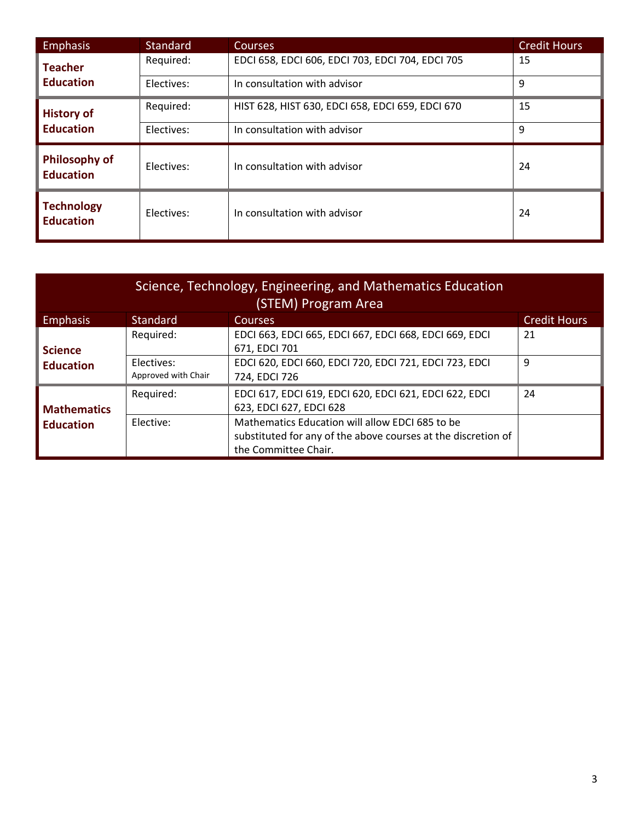| <b>Emphasis</b>                          | <b>Standard</b> | <b>Courses</b>                                   | <b>Credit Hours</b> |
|------------------------------------------|-----------------|--------------------------------------------------|---------------------|
| <b>Teacher</b>                           | Required:       | EDCI 658, EDCI 606, EDCI 703, EDCI 704, EDCI 705 | 15                  |
| <b>Education</b>                         | Electives:      | In consultation with advisor                     | 9                   |
| <b>History of</b>                        | Required:       | HIST 628, HIST 630, EDCI 658, EDCI 659, EDCI 670 | 15                  |
| <b>Education</b>                         | Electives:      | In consultation with advisor                     | 9                   |
| <b>Philosophy of</b><br><b>Education</b> | Electives:      | In consultation with advisor                     | 24                  |
| <b>Technology</b><br><b>Education</b>    | Electives:      | In consultation with advisor                     | 24                  |

| Science, Technology, Engineering, and Mathematics Education<br>(STEM) Program Area |                                   |                                                                                                                                          |                     |  |  |
|------------------------------------------------------------------------------------|-----------------------------------|------------------------------------------------------------------------------------------------------------------------------------------|---------------------|--|--|
| <b>Emphasis</b>                                                                    | <b>Standard</b>                   | <b>Courses</b>                                                                                                                           | <b>Credit Hours</b> |  |  |
| <b>Science</b><br><b>Education</b>                                                 | Required:                         | EDCI 663, EDCI 665, EDCI 667, EDCI 668, EDCI 669, EDCI<br>671, EDCI 701                                                                  | 21                  |  |  |
|                                                                                    | Electives:<br>Approved with Chair | EDCI 620, EDCI 660, EDCI 720, EDCI 721, EDCI 723, EDCI<br>724, EDCI 726                                                                  | 9                   |  |  |
| <b>Mathematics</b><br><b>Education</b>                                             | Required:                         | EDCI 617, EDCI 619, EDCI 620, EDCI 621, EDCI 622, EDCI<br>623, EDCI 627, EDCI 628                                                        | 24                  |  |  |
|                                                                                    | Elective:                         | Mathematics Education will allow EDCI 685 to be<br>substituted for any of the above courses at the discretion of<br>the Committee Chair. |                     |  |  |